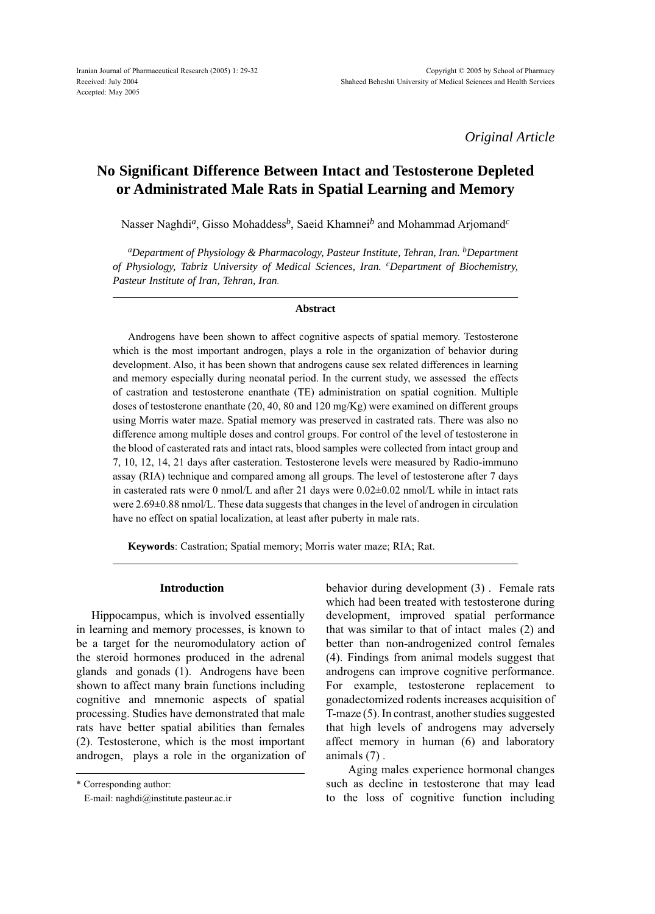*Original Article*

# **No Significant Difference Between Intact and Testosterone Depleted or Administrated Male Rats in Spatial Learning and Memory**

Nasser Naghdi*a*, Gisso Mohaddess*b*, Saeid Khamnei*b* and Mohammad Arjomand*<sup>c</sup>*

*aDepartment of Physiology & Pharmacology, Pasteur Institute, Tehran, Iran. bDepartment of Physiology, Tabriz University of Medical Sciences, Iran. cDepartment of Biochemistry, Pasteur Institute of Iran, Tehran, Iran*.

#### **Abstract**

Androgens have been shown to affect cognitive aspects of spatial memory. Testosterone which is the most important androgen, plays a role in the organization of behavior during development. Also, it has been shown that androgens cause sex related differences in learning and memory especially during neonatal period. In the current study, we assessed the effects of castration and testosterone enanthate (TE) administration on spatial cognition. Multiple doses of testosterone enanthate (20, 40, 80 and 120 mg/Kg) were examined on different groups using Morris water maze. Spatial memory was preserved in castrated rats. There was also no difference among multiple doses and control groups. For control of the level of testosterone in the blood of casterated rats and intact rats, blood samples were collected from intact group and 7, 10, 12, 14, 21 days after casteration. Testosterone levels were measured by Radio-immuno assay (RIA) technique and compared among all groups. The level of testosterone after 7 days in casterated rats were 0 nmol/L and after 21 days were 0.02±0.02 nmol/L while in intact rats were 2.69±0.88 nmol/L. These data suggests that changes in the level of androgen in circulation have no effect on spatial localization, at least after puberty in male rats.

**Keywords**: Castration; Spatial memory; Morris water maze; RIA; Rat.

### **Introduction**

Hippocampus, which is involved essentially in learning and memory processes, is known to be a target for the neuromodulatory action of the steroid hormones produced in the adrenal glands and gonads (1). Androgens have been shown to affect many brain functions including cognitive and mnemonic aspects of spatial processing. Studies have demonstrated that male rats have better spatial abilities than females (2). Testosterone, which is the most important androgen, plays a role in the organization of

\* Corresponding author:

behavior during development (3) . Female rats which had been treated with testosterone during development, improved spatial performance that was similar to that of intact males (2) and better than non-androgenized control females (4). Findings from animal models suggest that androgens can improve cognitive performance. For example, testosterone replacement to gonadectomized rodents increases acquisition of T-maze (5). In contrast, another studies suggested that high levels of androgens may adversely affect memory in human (6) and laboratory animals (7) .

 Aging males experience hormonal changes such as decline in testosterone that may lead to the loss of cognitive function including

E-mail: naghdi@institute.pasteur.ac.ir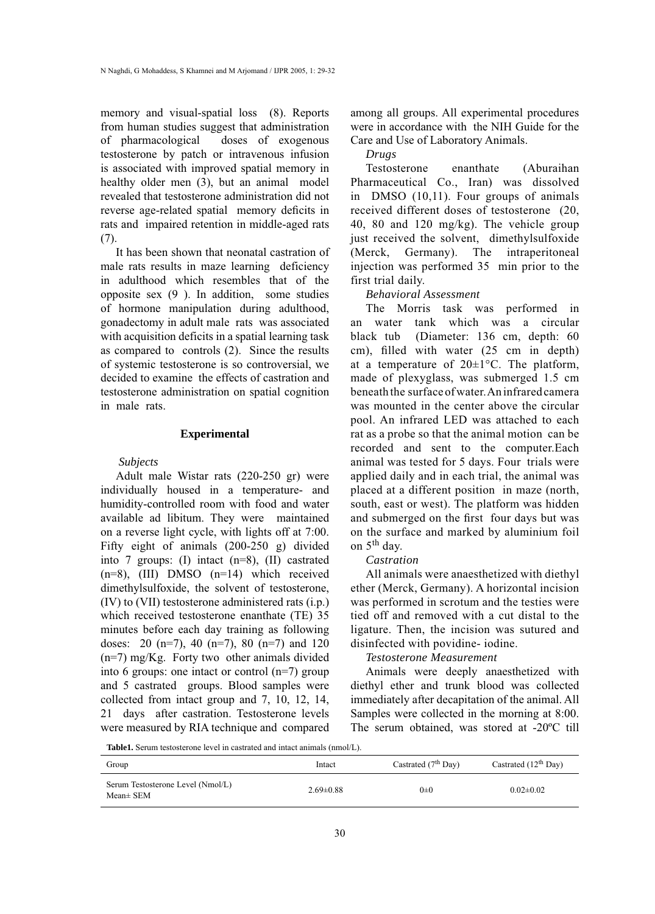memory and visual-spatial loss (8). Reports from human studies suggest that administration of pharmacological doses of exogenous testosterone by patch or intravenous infusion is associated with improved spatial memory in healthy older men (3), but an animal model revealed that testosterone administration did not reverse age-related spatial memory deficits in rats and impaired retention in middle-aged rats (7).

It has been shown that neonatal castration of male rats results in maze learning deficiency in adulthood which resembles that of the opposite sex (9 ). In addition, some studies of hormone manipulation during adulthood, gonadectomy in adult male rats was associated with acquisition deficits in a spatial learning task as compared to controls (2). Since the results of systemic testosterone is so controversial, we decided to examine the effects of castration and testosterone administration on spatial cognition in male rats.

# **Experimental**

#### *Subjects*

Adult male Wistar rats (220-250 gr) were individually housed in a temperature- and humidity-controlled room with food and water available ad libitum. They were maintained on a reverse light cycle, with lights off at 7:00. Fifty eight of animals (200-250 g) divided into 7 groups: (I) intact (n=8), (II) castrated (n=8), (III) DMSO (n=14) which received dimethylsulfoxide, the solvent of testosterone, (IV) to (VII) testosterone administered rats (i.p.) which received testosterone enanthate (TE) 35 minutes before each day training as following doses: 20 (n=7), 40 (n=7), 80 (n=7) and 120 (n=7) mg/Kg. Forty two other animals divided into 6 groups: one intact or control (n=7) group and 5 castrated groups. Blood samples were collected from intact group and 7, 10, 12, 14, 21 days after castration. Testosterone levels were measured by RIA technique and compared

among all groups. All experimental procedures were in accordance with the NIH Guide for the Care and Use of Laboratory Animals.

#### *Drugs*

Testosterone enanthate (Aburaihan Pharmaceutical Co., Iran) was dissolved in DMSO (10,11). Four groups of animals received different doses of testosterone (20, 40, 80 and 120 mg/kg). The vehicle group just received the solvent, dimethylsulfoxide (Merck, Germany). The intraperitoneal injection was performed 35 min prior to the first trial daily.

## *Behavioral Assessment*

The Morris task was performed in an water tank which was a circular black tub (Diameter: 136 cm, depth: 60 cm), filled with water (25 cm in depth) at a temperature of  $20 \pm 1$ °C. The platform, made of plexyglass, was submerged 1.5 cm beneath the surface of water. An infrared camera was mounted in the center above the circular pool. An infrared LED was attached to each rat as a probe so that the animal motion can be recorded and sent to the computer.Each animal was tested for 5 days. Four trials were applied daily and in each trial, the animal was placed at a different position in maze (north, south, east or west). The platform was hidden and submerged on the first four days but was on the surface and marked by aluminium foil on 5th day.

## *Castration*

All animals were anaesthetized with diethyl ether (Merck, Germany). A horizontal incision was performed in scrotum and the testies were tied off and removed with a cut distal to the ligature. Then, the incision was sutured and disinfected with povidine- iodine.

# *Testosterone Measurement*

Animals were deeply anaesthetized with diethyl ether and trunk blood was collected immediately after decapitation of the animal. All Samples were collected in the morning at 8:00. The serum obtained, was stored at -20ºC till

**Table1.** Serum testosterone level in castrated and intact animals (nmol/L).

| Group                                          | Intact          | Castrated $(7th$ Day) | Castrated $(12th$ Day) |
|------------------------------------------------|-----------------|-----------------------|------------------------|
| Serum Testosterone Level (Nmol/L)<br>Mean± SEM | $2.69 \pm 0.88$ | $0\pm 0$              | $0.02 \pm 0.02$        |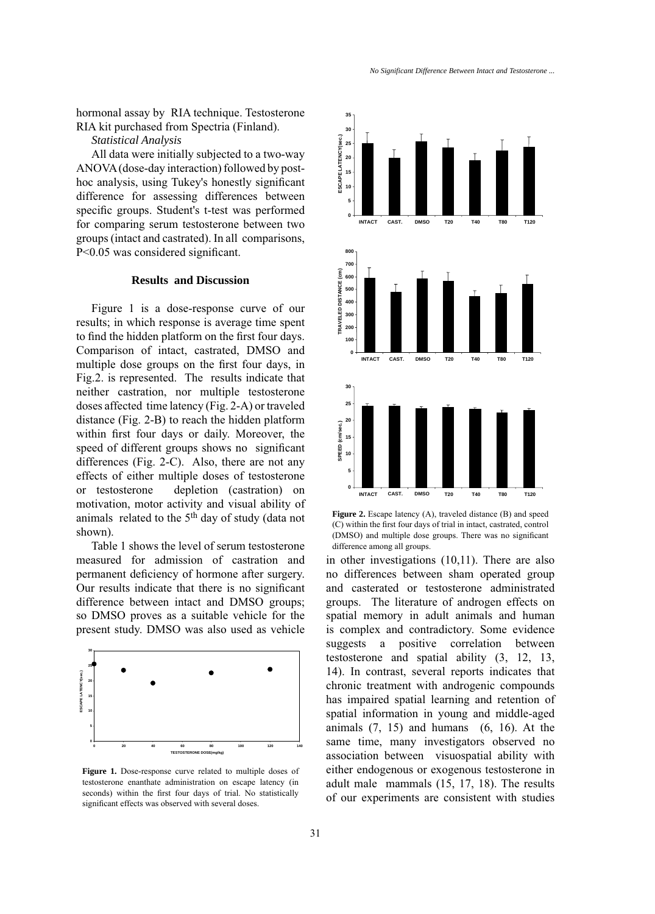hormonal assay by RIA technique. Testosterone RIA kit purchased from Spectria (Finland).

*Statistical Analysis* 

All data were initially subjected to a two-way ANOVA (dose-day interaction) followed by posthoc analysis, using Tukey's honestly significant difference for assessing differences between specific groups. Student's t-test was performed for comparing serum testosterone between two groups (intact and castrated). In all comparisons, P<0.05 was considered significant.

## **Results and Discussion**

Figure 1 is a dose-response curve of our results; in which response is average time spent to find the hidden platform on the first four days. Comparison of intact, castrated, DMSO and multiple dose groups on the first four days, in Fig.2. is represented. The results indicate that neither castration, nor multiple testosterone doses affected time latency (Fig. 2-A) or traveled distance (Fig. 2-B) to reach the hidden platform within first four days or daily. Moreover, the speed of different groups shows no significant differences (Fig. 2-C). Also, there are not any effects of either multiple doses of testosterone or testosterone depletion (castration) on motivation, motor activity and visual ability of animals related to the 5th day of study (data not shown).

Table 1 shows the level of serum testosterone measured for admission of castration and permanent deficiency of hormone after surgery. Our results indicate that there is no significant difference between intact and DMSO groups; so DMSO proves as a suitable vehicle for the present study. DMSO was also used as vehicle



**Figure 1.** Dose-response curve related to multiple doses of testosterone enanthate administration on escape latency (in seconds) within the first four days of trial. No statistically significant effects was observed with several doses.



**Figure 2.** Escape latency (A), traveled distance (B) and speed (C) within the first four days of trial in intact, castrated, control (DMSO) and multiple dose groups. There was no significant difference among all groups.

in other investigations (10,11). There are also no differences between sham operated group and casterated or testosterone administrated groups. The literature of androgen effects on spatial memory in adult animals and human is complex and contradictory. Some evidence suggests a positive correlation between testosterone and spatial ability (3, 12, 13, 14). In contrast, several reports indicates that chronic treatment with androgenic compounds has impaired spatial learning and retention of spatial information in young and middle-aged animals  $(7, 15)$  and humans  $(6, 16)$ . At the same time, many investigators observed no association between visuospatial ability with either endogenous or exogenous testosterone in adult male mammals (15, 17, 18). The results of our experiments are consistent with studies